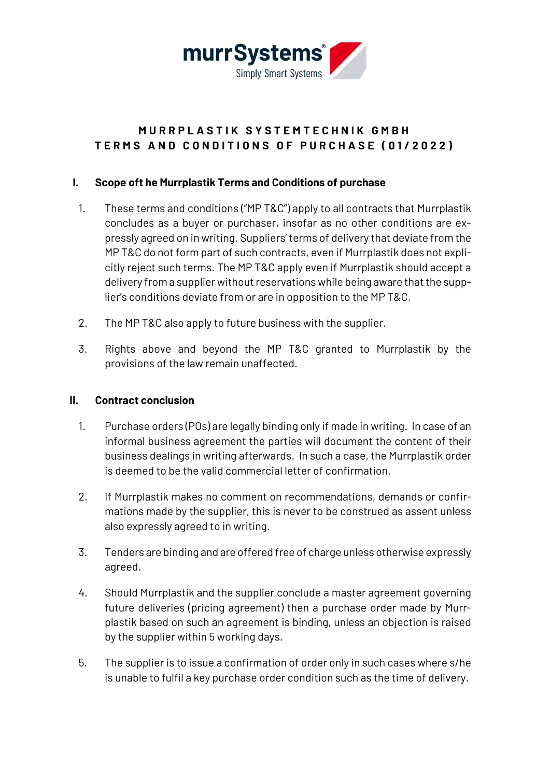

# **MURRPLASTIK SYSTEMTE CHNIK GMBH TERMS AND CONDITIONS OF PURCHASE ( 0 1 /202 2 )**

### **I. Scope oft he Murrplastik Terms and Conditions of purchase**

- 1. These terms and conditions ("MP T&C") apply to all contracts that Murrplastik concludes as a buyer or purchaser, insofar as no other conditions are expressly agreed on in writing. Suppliers' terms of delivery that deviate from the MP T&C do not form part of such contracts, even if Murrplastik does not explicitly reject such terms. The MP T&C apply even if Murrplastik should accept a delivery from a supplier without reservations while being aware that the supplier's conditions deviate from or are in opposition to the MP T&C.
- 2. The MP T&C also apply to future business with the supplier.
- 3. Rights above and beyond the MP T&C granted to Murrplastik by the provisions of the law remain unaffected.

#### **II. Contract conclusion**

- 1. Purchase orders (POs) are legally binding only if made in writing. In case of an informal business agreement the parties will document the content of their business dealings in writing afterwards. In such a case, the Murrplastik order is deemed to be the valid commercial letter of confirmation.
- 2. If Murrplastik makes no comment on recommendations, demands or confirmations made by the supplier, this is never to be construed as assent unless also expressly agreed to in writing.
- 3. Tenders are binding and are offered free of charge unless otherwise expressly agreed.
- 4. Should Murrplastik and the supplier conclude a master agreement governing future deliveries (pricing agreement) then a purchase order made by Murrplastik based on such an agreement is binding, unless an objection is raised by the supplier within 5 working days.
- 5. The supplier is to issue a confirmation of order only in such cases where s/he is unable to fulfil a key purchase order condition such as the time of delivery.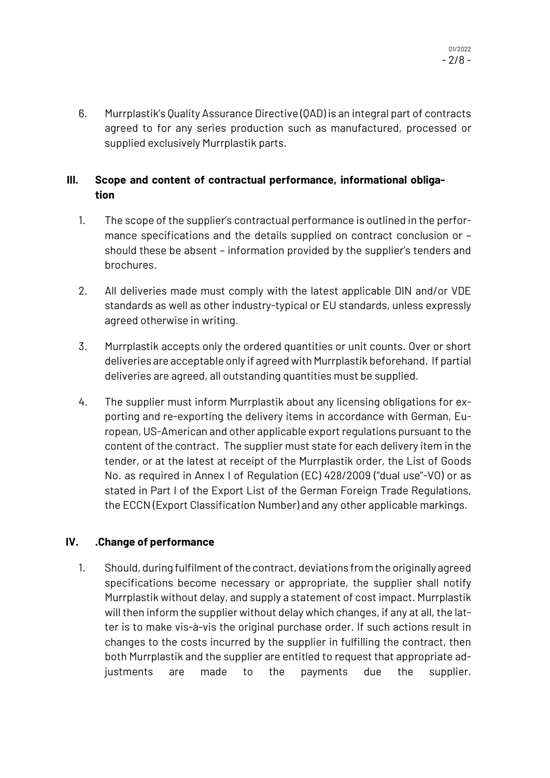6. Murrplastik's Quality Assurance Directive (QAD) is an integral part of contracts agreed to for any series production such as manufactured, processed or supplied exclusively Murrplastik parts.

# **III. Scope and content of contractual performance, informational obligation**

- 1. The scope of the supplier's contractual performance is outlined in the performance specifications and the details supplied on contract conclusion or – should these be absent – information provided by the supplier's tenders and brochures.
- 2. All deliveries made must comply with the latest applicable DIN and/or VDE standards as well as other industry-typical or EU standards, unless expressly agreed otherwise in writing.
- 3. Murrplastik accepts only the ordered quantities or unit counts. Over or short deliveries are acceptable only if agreed with Murrplastik beforehand. If partial deliveries are agreed, all outstanding quantities must be supplied.
- 4. The supplier must inform Murrplastik about any licensing obligations for exporting and re-exporting the delivery items in accordance with German, European, US-American and other applicable export regulations pursuant to the content of the contract. The supplier must state for each delivery item in the tender, or at the latest at receipt of the Murrplastik order, the List of Goods No. as required in Annex I of Regulation (EC) 428/2009 ("dual use"-VO) or as stated in Part I of the Export List of the German Foreign Trade Regulations, the ECCN (Export Classification Number) and any other applicable markings.

# **IV. .Change of performance**

1. Should, during fulfilment of the contract, deviations from the originally agreed specifications become necessary or appropriate, the supplier shall notify Murrplastik without delay, and supply a statement of cost impact. Murrplastik will then inform the supplier without delay which changes, if any at all, the latter is to make vis-à-vis the original purchase order. If such actions result in changes to the costs incurred by the supplier in fulfilling the contract, then both Murrplastik and the supplier are entitled to request that appropriate adjustments are made to the payments due the supplier.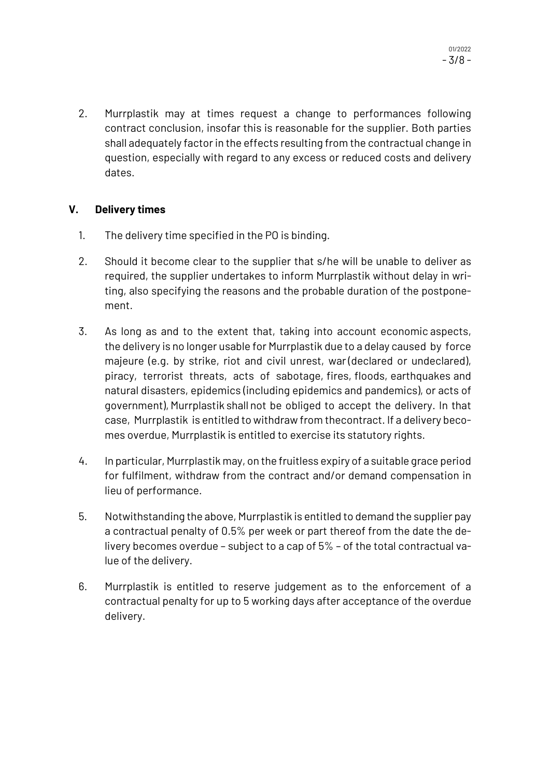2. Murrplastik may at times request a change to performances following contract conclusion, insofar this is reasonable for the supplier. Both parties shall adequately factor in the effects resulting from the contractual change in question, especially with regard to any excess or reduced costs and delivery dates.

#### **V. Delivery times**

- 1. The delivery time specified in the PO is binding.
- 2. Should it become clear to the supplier that s/he will be unable to deliver as required, the supplier undertakes to inform Murrplastik without delay in writing, also specifying the reasons and the probable duration of the postponement.
- 3. As long as and to the extent that, taking into account economic aspects, the delivery is no longer usable for Murrplastik due to a delay caused by force majeure (e.g. by strike, riot and civil unrest, war (declared or undeclared), piracy, terrorist threats, acts of sabotage, fires, floods, earthquakes and natural disasters, epidemics (including epidemics and pandemics), or acts of government), Murrplastik shall not be obliged to accept the delivery. In that case, Murrplastik is entitled to withdraw from thecontract. If a delivery becomes overdue, Murrplastik is entitled to exercise its statutory rights.
- 4. In particular, Murrplastik may, on the fruitless expiry of a suitable grace period for fulfilment, withdraw from the contract and/or demand compensation in lieu of performance.
- 5. Notwithstanding the above, Murrplastik is entitled to demand the supplier pay a contractual penalty of 0.5% per week or part thereof from the date the delivery becomes overdue – subject to a cap of 5% – of the total contractual value of the delivery.
- 6. Murrplastik is entitled to reserve judgement as to the enforcement of a contractual penalty for up to 5 working days after acceptance of the overdue delivery.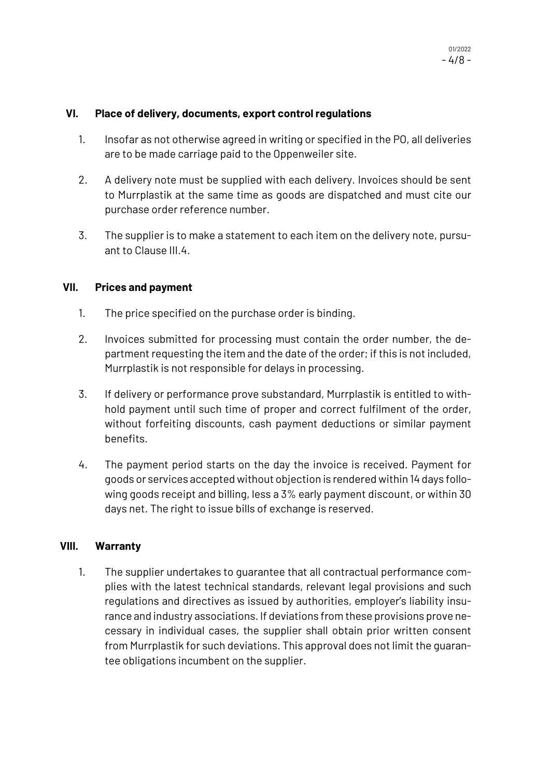#### **VI. Place of delivery, documents, export control regulations**

- 1. Insofar as not otherwise agreed in writing or specified in the PO, all deliveries are to be made carriage paid to the Oppenweiler site.
- 2. A delivery note must be supplied with each delivery. Invoices should be sent to Murrplastik at the same time as goods are dispatched and must cite our purchase order reference number.
- 3. The supplier is to make a statement to each item on the delivery note, pursuant to Clause III.4.

#### **VII. Prices and payment**

- 1. The price specified on the purchase order is binding.
- 2. Invoices submitted for processing must contain the order number, the department requesting the item and the date of the order; if this is not included, Murrplastik is not responsible for delays in processing.
- 3. If delivery or performance prove substandard, Murrplastik is entitled to withhold payment until such time of proper and correct fulfilment of the order, without forfeiting discounts, cash payment deductions or similar payment benefits.
- 4. The payment period starts on the day the invoice is received. Payment for goods or services accepted without objection is rendered within 14 days following goods receipt and billing, less a 3% early payment discount, or within 30 days net. The right to issue bills of exchange is reserved.

#### **VIII. Warranty**

1. The supplier undertakes to guarantee that all contractual performance complies with the latest technical standards, relevant legal provisions and such regulations and directives as issued by authorities, employer's liability insurance and industry associations. If deviations from these provisions prove necessary in individual cases, the supplier shall obtain prior written consent from Murrplastik for such deviations. This approval does not limit the guarantee obligations incumbent on the supplier.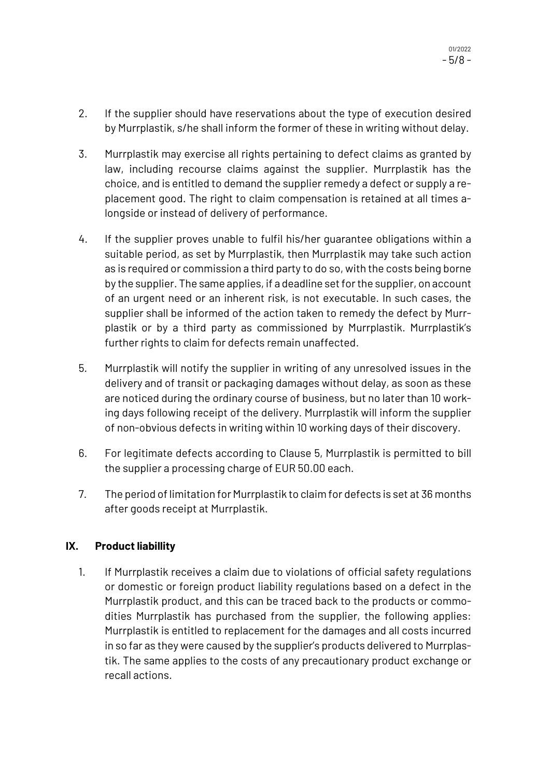- 2. If the supplier should have reservations about the type of execution desired by Murrplastik, s/he shall inform the former of these in writing without delay.
- 3. Murrplastik may exercise all rights pertaining to defect claims as granted by law, including recourse claims against the supplier. Murrplastik has the choice, and is entitled to demand the supplier remedy a defect or supply a replacement good. The right to claim compensation is retained at all times alongside or instead of delivery of performance.
- 4. If the supplier proves unable to fulfil his/her guarantee obligations within a suitable period, as set by Murrplastik, then Murrplastik may take such action as is required or commission a third party to do so, with the costs being borne by the supplier. The same applies, if a deadline set for the supplier, on account of an urgent need or an inherent risk, is not executable. In such cases, the supplier shall be informed of the action taken to remedy the defect by Murrplastik or by a third party as commissioned by Murrplastik. Murrplastik's further rights to claim for defects remain unaffected.
- 5. Murrplastik will notify the supplier in writing of any unresolved issues in the delivery and of transit or packaging damages without delay, as soon as these are noticed during the ordinary course of business, but no later than 10 working days following receipt of the delivery. Murrplastik will inform the supplier of non-obvious defects in writing within 10 working days of their discovery.
- 6. For legitimate defects according to Clause 5, Murrplastik is permitted to bill the supplier a processing charge of EUR 50.00 each.
- 7. The period of limitation for Murrplastik to claim for defects is set at 36 months after goods receipt at Murrplastik.

# **IX. Product liabillity**

1. If Murrplastik receives a claim due to violations of official safety regulations or domestic or foreign product liability regulations based on a defect in the Murrplastik product, and this can be traced back to the products or commodities Murrplastik has purchased from the supplier, the following applies: Murrplastik is entitled to replacement for the damages and all costs incurred in so far as they were caused by the supplier's products delivered to Murrplastik. The same applies to the costs of any precautionary product exchange or recall actions.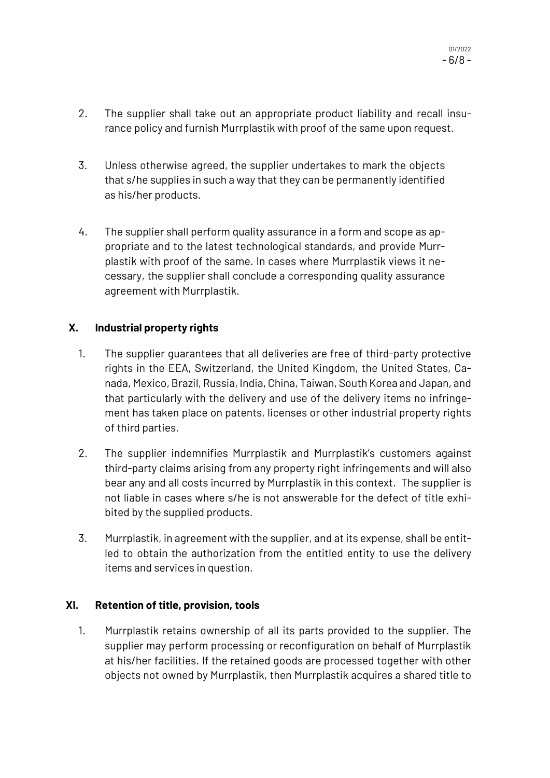01/2022 - 6/8 -

- 2. The supplier shall take out an appropriate product liability and recall insurance policy and furnish Murrplastik with proof of the same upon request.
- 3. Unless otherwise agreed, the supplier undertakes to mark the objects that s/he supplies in such a way that they can be permanently identified as his/her products.
- 4. The supplier shall perform quality assurance in a form and scope as appropriate and to the latest technological standards, and provide Murrplastik with proof of the same. In cases where Murrplastik views it necessary, the supplier shall conclude a corresponding quality assurance agreement with Murrplastik.

# **X. Industrial property rights**

- 1. The supplier guarantees that all deliveries are free of third-party protective rights in the EEA, Switzerland, the United Kingdom, the United States, Canada, Mexico, Brazil, Russia, India, China, Taiwan, South Korea and Japan, and that particularly with the delivery and use of the delivery items no infringement has taken place on patents, licenses or other industrial property rights of third parties.
- 2. The supplier indemnifies Murrplastik and Murrplastik's customers against third-party claims arising from any property right infringements and will also bear any and all costs incurred by Murrplastik in this context. The supplier is not liable in cases where s/he is not answerable for the defect of title exhibited by the supplied products.
- 3. Murrplastik, in agreement with the supplier, and at its expense, shall be entitled to obtain the authorization from the entitled entity to use the delivery items and services in question.

# **XI. Retention of title, provision, tools**

1. Murrplastik retains ownership of all its parts provided to the supplier. The supplier may perform processing or reconfiguration on behalf of Murrplastik at his/her facilities. If the retained goods are processed together with other objects not owned by Murrplastik, then Murrplastik acquires a shared title to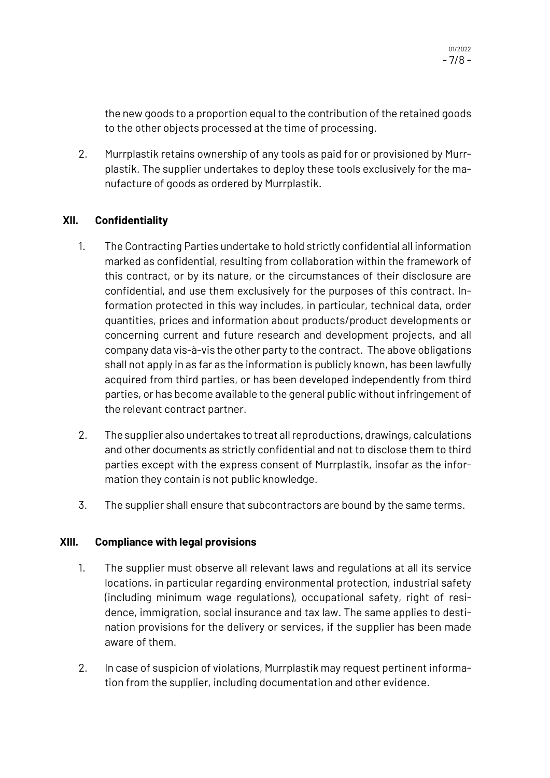the new goods to a proportion equal to the contribution of the retained goods to the other objects processed at the time of processing.

2. Murrplastik retains ownership of any tools as paid for or provisioned by Murrplastik. The supplier undertakes to deploy these tools exclusively for the manufacture of goods as ordered by Murrplastik.

#### **XII. Confidentiality**

- 1. The Contracting Parties undertake to hold strictly confidential all information marked as confidential, resulting from collaboration within the framework of this contract, or by its nature, or the circumstances of their disclosure are confidential, and use them exclusively for the purposes of this contract. Information protected in this way includes, in particular, technical data, order quantities, prices and information about products/product developments or concerning current and future research and development projects, and all company data vis-à-vis the other party to the contract. The above obligations shall not apply in as far as the information is publicly known, has been lawfully acquired from third parties, or has been developed independently from third parties, or has become available to the general public without infringement of the relevant contract partner.
- 2. The supplier also undertakes to treat all reproductions, drawings, calculations and other documents as strictly confidential and not to disclose them to third parties except with the express consent of Murrplastik, insofar as the information they contain is not public knowledge.
- 3. The supplier shall ensure that subcontractors are bound by the same terms.

#### **XIII. Compliance with legal provisions**

- 1. The supplier must observe all relevant laws and regulations at all its service locations, in particular regarding environmental protection, industrial safety (including minimum wage regulations), occupational safety, right of residence, immigration, social insurance and tax law. The same applies to destination provisions for the delivery or services, if the supplier has been made aware of them.
- 2. In case of suspicion of violations, Murrplastik may request pertinent information from the supplier, including documentation and other evidence.